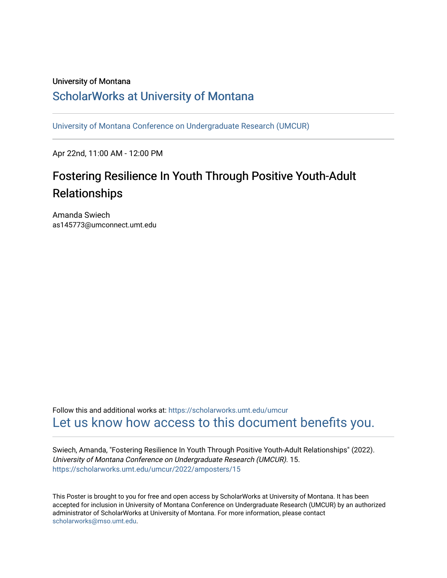### University of Montana

### [ScholarWorks at University of Montana](https://scholarworks.umt.edu/)

[University of Montana Conference on Undergraduate Research \(UMCUR\)](https://scholarworks.umt.edu/umcur)

Apr 22nd, 11:00 AM - 12:00 PM

### Fostering Resilience In Youth Through Positive Youth-Adult Relationships

Amanda Swiech as145773@umconnect.umt.edu

Follow this and additional works at: [https://scholarworks.umt.edu/umcur](https://scholarworks.umt.edu/umcur?utm_source=scholarworks.umt.edu%2Fumcur%2F2022%2Famposters%2F15&utm_medium=PDF&utm_campaign=PDFCoverPages)  [Let us know how access to this document benefits you.](https://goo.gl/forms/s2rGfXOLzz71qgsB2) 

Swiech, Amanda, "Fostering Resilience In Youth Through Positive Youth-Adult Relationships" (2022). University of Montana Conference on Undergraduate Research (UMCUR). 15. [https://scholarworks.umt.edu/umcur/2022/amposters/15](https://scholarworks.umt.edu/umcur/2022/amposters/15?utm_source=scholarworks.umt.edu%2Fumcur%2F2022%2Famposters%2F15&utm_medium=PDF&utm_campaign=PDFCoverPages) 

This Poster is brought to you for free and open access by ScholarWorks at University of Montana. It has been accepted for inclusion in University of Montana Conference on Undergraduate Research (UMCUR) by an authorized administrator of ScholarWorks at University of Montana. For more information, please contact [scholarworks@mso.umt.edu.](mailto:scholarworks@mso.umt.edu)